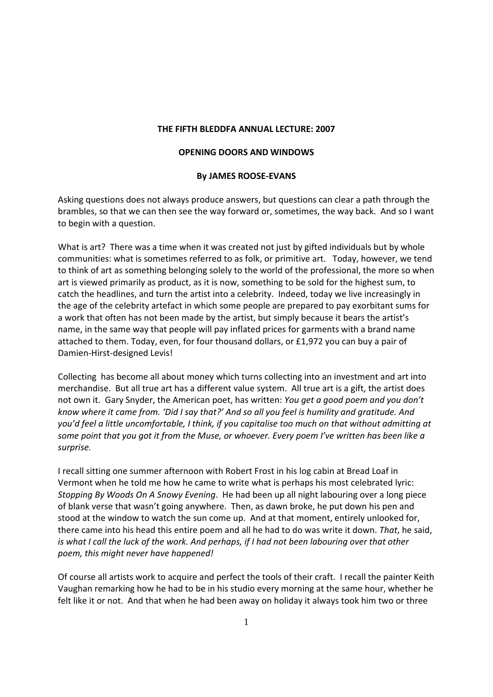## **THE FIFTH BLEDDFA ANNUAL LECTURE: 2007**

## **OPENING DOORS AND WINDOWS**

## **By JAMES ROOSE-EVANS**

Asking questions does not always produce answers, but questions can clear a path through the brambles, so that we can then see the way forward or, sometimes, the way back. And so I want to begin with a question.

What is art? There was a time when it was created not just by gifted individuals but by whole communities: what is sometimes referred to as folk, or primitive art. Today, however, we tend to think of art as something belonging solely to the world of the professional, the more so when art is viewed primarily as product, as it is now, something to be sold for the highest sum, to catch the headlines, and turn the artist into a celebrity. Indeed, today we live increasingly in the age of the celebrity artefact in which some people are prepared to pay exorbitant sums for a work that often has not been made by the artist, but simply because it bears the artist's name, in the same way that people will pay inflated prices for garments with a brand name attached to them. Today, even, for four thousand dollars, or £1,972 you can buy a pair of Damien-Hirst-designed Levis!

Collecting has become all about money which turns collecting into an investment and art into merchandise. But all true art has a different value system. All true art is a gift, the artist does not own it. Gary Snyder, the American poet, has written: *You get a good poem and you don't know where it came from. 'Did I say that?' And so all you feel is humility and gratitude. And you'd feel a little uncomfortable, I think, if you capitalise too much on that without admitting at some point that you got it from the Muse, or whoever. Every poem I've written has been like a surprise.* 

I recall sitting one summer afternoon with Robert Frost in his log cabin at Bread Loaf in Vermont when he told me how he came to write what is perhaps his most celebrated lyric: *Stopping By Woods On A Snowy Evening*. He had been up all night labouring over a long piece of blank verse that wasn't going anywhere. Then, as dawn broke, he put down his pen and stood at the window to watch the sun come up. And at that moment, entirely unlooked for, there came into his head this entire poem and all he had to do was write it down. *That*, he said, *is what I call the luck of the work. And perhaps, if I had not been labouring over that other poem, this might never have happened!* 

Of course all artists work to acquire and perfect the tools of their craft. I recall the painter Keith Vaughan remarking how he had to be in his studio every morning at the same hour, whether he felt like it or not. And that when he had been away on holiday it always took him two or three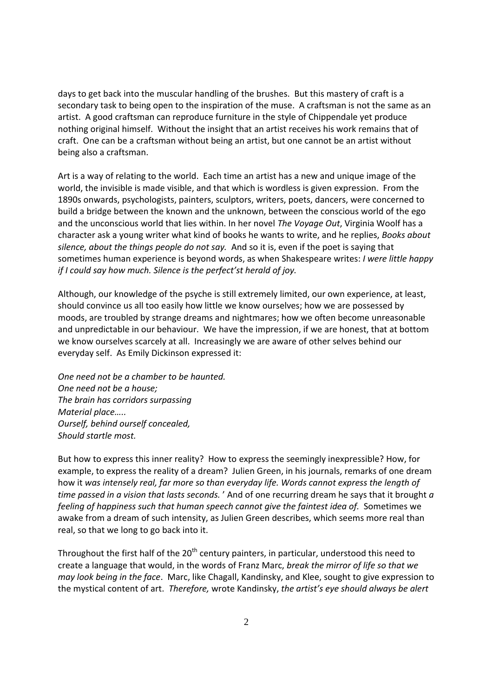days to get back into the muscular handling of the brushes. But this mastery of craft is a secondary task to being open to the inspiration of the muse. A craftsman is not the same as an artist. A good craftsman can reproduce furniture in the style of Chippendale yet produce nothing original himself. Without the insight that an artist receives his work remains that of craft. One can be a craftsman without being an artist, but one cannot be an artist without being also a craftsman.

Art is a way of relating to the world. Each time an artist has a new and unique image of the world, the invisible is made visible, and that which is wordless is given expression. From the 1890s onwards, psychologists, painters, sculptors, writers, poets, dancers, were concerned to build a bridge between the known and the unknown, between the conscious world of the ego and the unconscious world that lies within. In her novel *The Voyage Out*, Virginia Woolf has a character ask a young writer what kind of books he wants to write, and he replies, *Books about silence, about the things people do not say.* And so it is, even if the poet is saying that sometimes human experience is beyond words, as when Shakespeare writes: *I were little happy if I could say how much. Silence is the perfect'st herald of joy.* 

Although, our knowledge of the psyche is still extremely limited, our own experience, at least, should convince us all too easily how little we know ourselves; how we are possessed by moods, are troubled by strange dreams and nightmares; how we often become unreasonable and unpredictable in our behaviour. We have the impression, if we are honest, that at bottom we know ourselves scarcely at all. Increasingly we are aware of other selves behind our everyday self. As Emily Dickinson expressed it:

*One need not be a chamber to be haunted. One need not be a house; The brain has corridors surpassing Material place….. Ourself, behind ourself concealed, Should startle most.* 

But how to express this inner reality? How to express the seemingly inexpressible? How, for example, to express the reality of a dream? Julien Green, in his journals, remarks of one dream how it *was intensely real, far more so than everyday life. Words cannot express the length of time passed in a vision that lasts seconds.* ' And of one recurring dream he says that it brought *a feeling of happiness such that human speech cannot give the faintest idea of.* Sometimes we awake from a dream of such intensity, as Julien Green describes, which seems more real than real, so that we long to go back into it.

Throughout the first half of the  $20<sup>th</sup>$  century painters, in particular, understood this need to create a language that would, in the words of Franz Marc, *break the mirror of life so that we may look being in the face*. Marc, like Chagall, Kandinsky, and Klee, sought to give expression to the mystical content of art. *Therefore,* wrote Kandinsky, *the artist's eye should always be alert*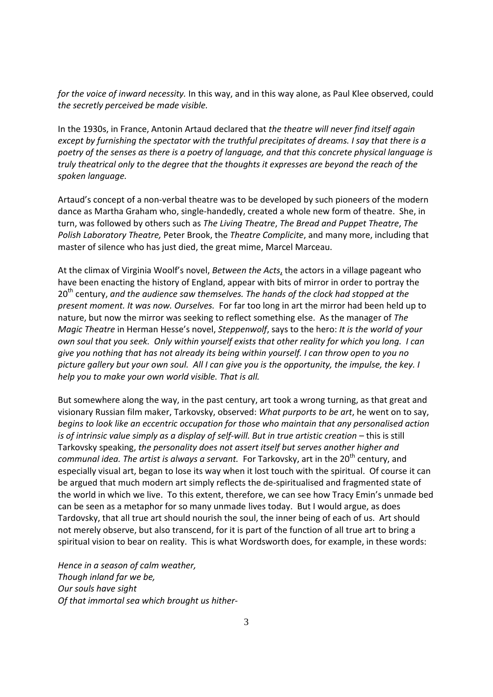*for the voice of inward necessity.* In this way, and in this way alone, as Paul Klee observed, could *the secretly perceived be made visible.* 

In the 1930s, in France, Antonin Artaud declared that *the theatre will never find itself again except by furnishing the spectator with the truthful precipitates of dreams. I say that there is a poetry of the senses as there is a poetry of language, and that this concrete physical language is truly theatrical only to the degree that the thoughts it expresses are beyond the reach of the spoken language.* 

Artaud's concept of a non-verbal theatre was to be developed by such pioneers of the modern dance as Martha Graham who, single-handedly, created a whole new form of theatre. She, in turn, was followed by others such as *The Living Theatre*, *The Bread and Puppet Theatre*, *The Polish Laboratory Theatre,* Peter Brook, the *Theatre Complicite*, and many more, including that master of silence who has just died, the great mime, Marcel Marceau.

At the climax of Virginia Woolf's novel, *Between the Acts*, the actors in a village pageant who have been enacting the history of England, appear with bits of mirror in order to portray the 20th century, *and the audience saw themselves. The hands of the clock had stopped at the present moment. It was now. Ourselves.* For far too long in art the mirror had been held up to nature, but now the mirror was seeking to reflect something else. As the manager of *The Magic Theatre* in Herman Hesse's novel, *Steppenwolf*, says to the hero: *It is the world of your own soul that you seek. Only within yourself exists that other reality for which you long. I can give you nothing that has not already its being within yourself. I can throw open to you no picture gallery but your own soul. All I can give you is the opportunity, the impulse, the key. I help you to make your own world visible. That is all.*

But somewhere along the way, in the past century, art took a wrong turning, as that great and visionary Russian film maker, Tarkovsky, observed: *What purports to be art*, he went on to say, *begins to look like an eccentric occupation for those who maintain that any personalised action is of intrinsic value simply as a display of self-will. But in true artistic creation – this is still* Tarkovsky speaking, *the personality does not assert itself but serves another higher and communal idea. The artist is always a servant.* For Tarkovsky, art in the 20<sup>th</sup> century, and especially visual art, began to lose its way when it lost touch with the spiritual. Of course it can be argued that much modern art simply reflects the de-spiritualised and fragmented state of the world in which we live. To this extent, therefore, we can see how Tracy Emin's unmade bed can be seen as a metaphor for so many unmade lives today. But I would argue, as does Tardovsky, that all true art should nourish the soul, the inner being of each of us. Art should not merely observe, but also transcend, for it is part of the function of all true art to bring a spiritual vision to bear on reality. This is what Wordsworth does, for example, in these words:

*Hence in a season of calm weather, Though inland far we be, Our souls have sight Of that immortal sea which brought us hither-*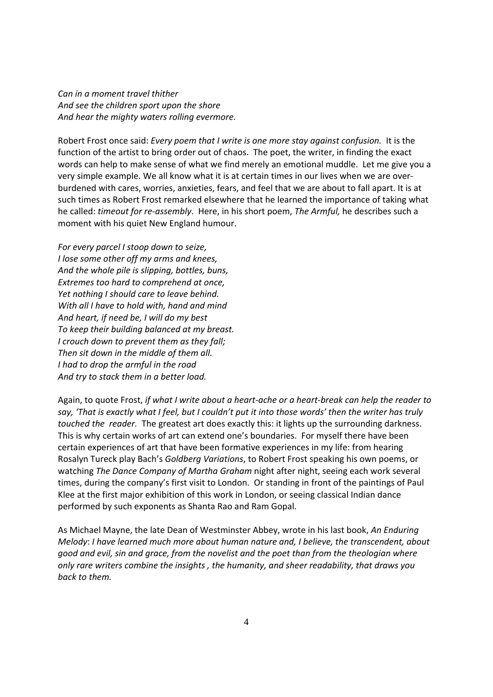*Can in a moment travel thither And see the children sport upon the shore And hear the mighty waters rolling evermore.* 

Robert Frost once said: *Every poem that I write is one more stay against confusion.* It is the function of the artist to bring order out of chaos. The poet, the writer, in finding the exact words can help to make sense of what we find merely an emotional muddle. Let me give you a very simple example. We all know what it is at certain times in our lives when we are overburdened with cares, worries, anxieties, fears, and feel that we are about to fall apart. It is at such times as Robert Frost remarked elsewhere that he learned the importance of taking what he called: *timeout for re-assembly*. Here, in his short poem, *The Armful,* he describes such a moment with his quiet New England humour.

*For every parcel I stoop down to seize, I lose some other off my arms and knees, And the whole pile is slipping, bottles, buns, Extremes too hard to comprehend at once, Yet nothing I should care to leave behind. With all I have to hold with, hand and mind And heart, if need be, I will do my best To keep their building balanced at my breast. I crouch down to prevent them as they fall; Then sit down in the middle of them all. I had to drop the armful in the road And try to stack them in a better load.* 

Again, to quote Frost, *if what I write about a heart-ache or a heart-break can help the reader to say, 'That is exactly what I feel, but I couldn't put it into those words' then the writer has truly touched the reader.* The greatest art does exactly this: it lights up the surrounding darkness. This is why certain works of art can extend one's boundaries. For myself there have been certain experiences of art that have been formative experiences in my life: from hearing Rosalyn Tureck play Bach's *Goldberg Variations*, to Robert Frost speaking his own poems, or watching *The Dance Company of Martha Graham* night after night, seeing each work several times, during the company's first visit to London. Or standing in front of the paintings of Paul Klee at the first major exhibition of this work in London, or seeing classical Indian dance performed by such exponents as Shanta Rao and Ram Gopal.

As Michael Mayne, the late Dean of Westminster Abbey, wrote in his last book, *An Enduring Melody*: *I have learned much more about human nature and, I believe, the transcendent, about good and evil, sin and grace, from the novelist and the poet than from the theologian where only rare writers combine the insights , the humanity, and sheer readability, that draws you back to them.*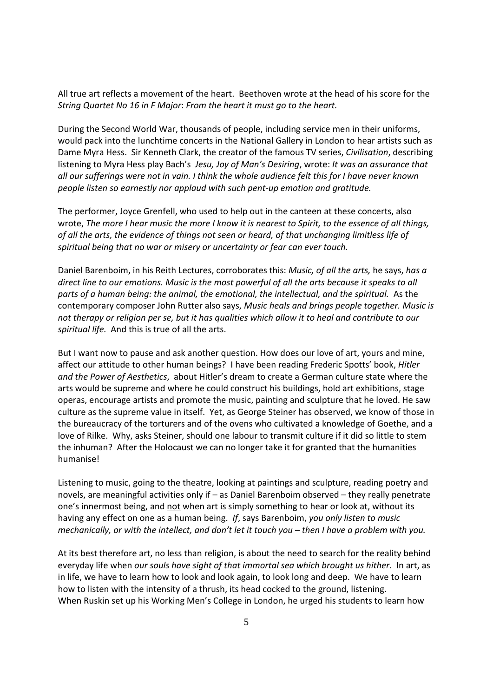All true art reflects a movement of the heart. Beethoven wrote at the head of his score for the *String Quartet No 16 in F Major*: *From the heart it must go to the heart.* 

During the Second World War, thousands of people, including service men in their uniforms, would pack into the lunchtime concerts in the National Gallery in London to hear artists such as Dame Myra Hess. Sir Kenneth Clark, the creator of the famous TV series, *Civilisation*, describing listening to Myra Hess play Bach's *Jesu, Joy of Man's Desiring*, wrote: *It was an assurance that all our sufferings were not in vain. I think the whole audience felt this for I have never known people listen so earnestly nor applaud with such pent-up emotion and gratitude.* 

The performer, Joyce Grenfell, who used to help out in the canteen at these concerts, also wrote, *The more I hear music the more I know it is nearest to Spirit, to the essence of all things, of all the arts, the evidence of things not seen or heard, of that unchanging limitless life of spiritual being that no war or misery or uncertainty or fear can ever touch.* 

Daniel Barenboim, in his Reith Lectures, corroborates this: *Music, of all the arts,* he says, *has a direct line to our emotions. Music is the most powerful of all the arts because it speaks to all parts of a human being: the animal, the emotional, the intellectual, and the spiritual.* As the contemporary composer John Rutter also says, *Music heals and brings people together. Music is not therapy or religion per se, but it has qualities which allow it to heal and contribute to our spiritual life.* And this is true of all the arts.

But I want now to pause and ask another question. How does our love of art, yours and mine, affect our attitude to other human beings? I have been reading Frederic Spotts' book, *Hitler and the Power of Aesthetics*, about Hitler's dream to create a German culture state where the arts would be supreme and where he could construct his buildings, hold art exhibitions, stage operas, encourage artists and promote the music, painting and sculpture that he loved. He saw culture as the supreme value in itself. Yet, as George Steiner has observed, we know of those in the bureaucracy of the torturers and of the ovens who cultivated a knowledge of Goethe, and a love of Rilke. Why, asks Steiner, should one labour to transmit culture if it did so little to stem the inhuman? After the Holocaust we can no longer take it for granted that the humanities humanise!

Listening to music, going to the theatre, looking at paintings and sculpture, reading poetry and novels, are meaningful activities only if – as Daniel Barenboim observed – they really penetrate one's innermost being, and not when art is simply something to hear or look at, without its having any effect on one as a human being. *If*, says Barenboim, *you only listen to music mechanically, or with the intellect, and don't let it touch you – then I have a problem with you.* 

At its best therefore art, no less than religion, is about the need to search for the reality behind everyday life when *our souls have sight of that immortal sea which brought us hither*. In art, as in life, we have to learn how to look and look again, to look long and deep. We have to learn how to listen with the intensity of a thrush, its head cocked to the ground, listening. When Ruskin set up his Working Men's College in London, he urged his students to learn how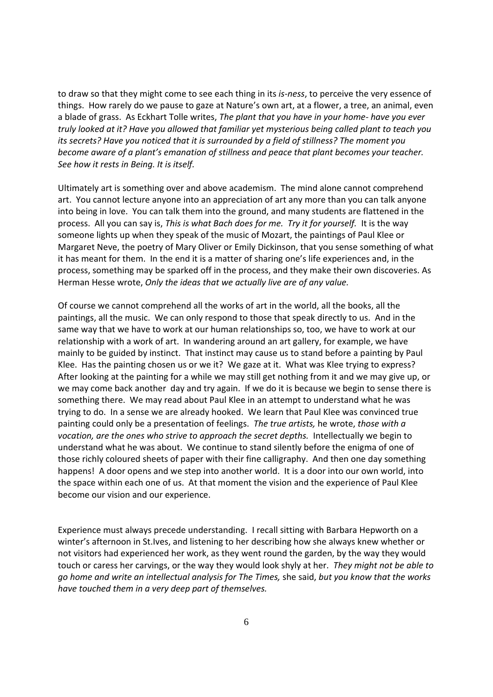to draw so that they might come to see each thing in its *is-ness*, to perceive the very essence of things. How rarely do we pause to gaze at Nature's own art, at a flower, a tree, an animal, even a blade of grass. As Eckhart Tolle writes, *The plant that you have in your home- have you ever truly looked at it? Have you allowed that familiar yet mysterious being called plant to teach you its secrets? Have you noticed that it is surrounded by a field of stillness? The moment you become aware of a plant's emanation of stillness and peace that plant becomes your teacher. See how it rests in Being. It is itself.* 

Ultimately art is something over and above academism. The mind alone cannot comprehend art. You cannot lecture anyone into an appreciation of art any more than you can talk anyone into being in love. You can talk them into the ground, and many students are flattened in the process. All you can say is, *This is what Bach does for me. Try it for yourself.* It is the way someone lights up when they speak of the music of Mozart, the paintings of Paul Klee or Margaret Neve, the poetry of Mary Oliver or Emily Dickinson, that you sense something of what it has meant for them. In the end it is a matter of sharing one's life experiences and, in the process, something may be sparked off in the process, and they make their own discoveries. As Herman Hesse wrote, *Only the ideas that we actually live are of any value.* 

Of course we cannot comprehend all the works of art in the world, all the books, all the paintings, all the music. We can only respond to those that speak directly to us. And in the same way that we have to work at our human relationships so, too, we have to work at our relationship with a work of art. In wandering around an art gallery, for example, we have mainly to be guided by instinct. That instinct may cause us to stand before a painting by Paul Klee. Has the painting chosen us or we it? We gaze at it. What was Klee trying to express? After looking at the painting for a while we may still get nothing from it and we may give up, or we may come back another day and try again. If we do it is because we begin to sense there is something there. We may read about Paul Klee in an attempt to understand what he was trying to do. In a sense we are already hooked. We learn that Paul Klee was convinced true painting could only be a presentation of feelings. *The true artists,* he wrote, *those with a vocation, are the ones who strive to approach the secret depths.* Intellectually we begin to understand what he was about. We continue to stand silently before the enigma of one of those richly coloured sheets of paper with their fine calligraphy. And then one day something happens! A door opens and we step into another world. It is a door into our own world, into the space within each one of us. At that moment the vision and the experience of Paul Klee become our vision and our experience.

Experience must always precede understanding. I recall sitting with Barbara Hepworth on a winter's afternoon in St.Ives, and listening to her describing how she always knew whether or not visitors had experienced her work, as they went round the garden, by the way they would touch or caress her carvings, or the way they would look shyly at her. *They might not be able to go home and write an intellectual analysis for The Times,* she said, *but you know that the works have touched them in a very deep part of themselves.*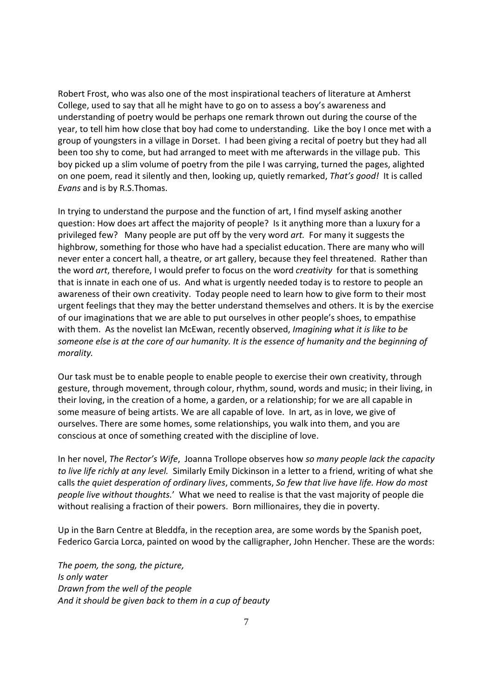Robert Frost, who was also one of the most inspirational teachers of literature at Amherst College, used to say that all he might have to go on to assess a boy's awareness and understanding of poetry would be perhaps one remark thrown out during the course of the year, to tell him how close that boy had come to understanding. Like the boy I once met with a group of youngsters in a village in Dorset. I had been giving a recital of poetry but they had all been too shy to come, but had arranged to meet with me afterwards in the village pub. This boy picked up a slim volume of poetry from the pile I was carrying, turned the pages, alighted on one poem, read it silently and then, looking up, quietly remarked, *That's good!* It is called *Evans* and is by R.S.Thomas.

In trying to understand the purpose and the function of art, I find myself asking another question: How does art affect the majority of people? Is it anything more than a luxury for a privileged few? Many people are put off by the very word *art.* For many it suggests the highbrow, something for those who have had a specialist education. There are many who will never enter a concert hall, a theatre, or art gallery, because they feel threatened. Rather than the word *art*, therefore, I would prefer to focus on the word *creativity* for that is something that is innate in each one of us. And what is urgently needed today is to restore to people an awareness of their own creativity. Today people need to learn how to give form to their most urgent feelings that they may the better understand themselves and others. It is by the exercise of our imaginations that we are able to put ourselves in other people's shoes, to empathise with them. As the novelist Ian McEwan, recently observed, *Imagining what it is like to be someone else is at the core of our humanity. It is the essence of humanity and the beginning of morality.* 

Our task must be to enable people to enable people to exercise their own creativity, through gesture, through movement, through colour, rhythm, sound, words and music; in their living, in their loving, in the creation of a home, a garden, or a relationship; for we are all capable in some measure of being artists. We are all capable of love. In art, as in love, we give of ourselves. There are some homes, some relationships, you walk into them, and you are conscious at once of something created with the discipline of love.

In her novel, *The Rector's Wife*, Joanna Trollope observes how *so many people lack the capacity to live life richly at any level.* Similarly Emily Dickinson in a letter to a friend, writing of what she calls *the quiet desperation of ordinary lives*, comments, *So few that live have life. How do most people live without thoughts.*' What we need to realise is that the vast majority of people die without realising a fraction of their powers. Born millionaires, they die in poverty.

Up in the Barn Centre at Bleddfa, in the reception area, are some words by the Spanish poet, Federico Garcia Lorca, painted on wood by the calligrapher, John Hencher. These are the words:

*The poem, the song, the picture, Is only water Drawn from the well of the people And it should be given back to them in a cup of beauty*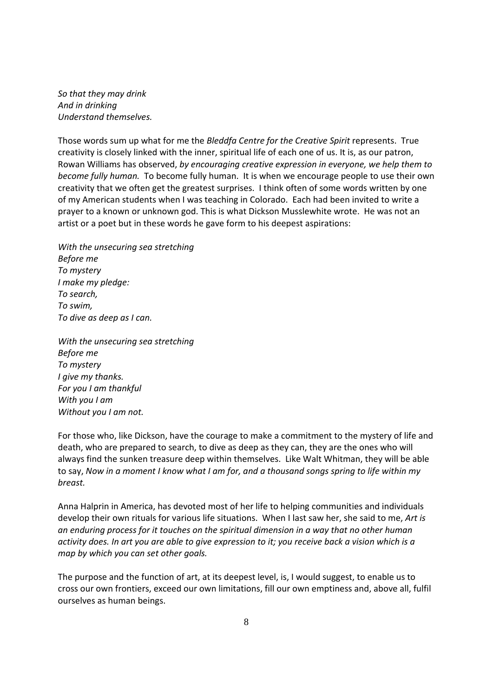*So that they may drink And in drinking Understand themselves.* 

Those words sum up what for me the *Bleddfa Centre for the Creative Spirit* represents. True creativity is closely linked with the inner, spiritual life of each one of us. It is, as our patron, Rowan Williams has observed, *by encouraging creative expression in everyone, we help them to become fully human.* To become fully human. It is when we encourage people to use their own creativity that we often get the greatest surprises. I think often of some words written by one of my American students when I was teaching in Colorado. Each had been invited to write a prayer to a known or unknown god. This is what Dickson Musslewhite wrote. He was not an artist or a poet but in these words he gave form to his deepest aspirations:

*With the unsecuring sea stretching Before me To mystery I make my pledge: To search, To swim, To dive as deep as I can.* 

*With the unsecuring sea stretching Before me To mystery I give my thanks. For you I am thankful With you I am Without you I am not.* 

For those who, like Dickson, have the courage to make a commitment to the mystery of life and death, who are prepared to search, to dive as deep as they can, they are the ones who will always find the sunken treasure deep within themselves. Like Walt Whitman, they will be able to say, *Now in a moment I know what I am for, and a thousand songs spring to life within my breast.* 

Anna Halprin in America, has devoted most of her life to helping communities and individuals develop their own rituals for various life situations. When I last saw her, she said to me, *Art is an enduring process for it touches on the spiritual dimension in a way that no other human activity does. In art you are able to give expression to it; you receive back a vision which is a map by which you can set other goals.* 

The purpose and the function of art, at its deepest level, is, I would suggest, to enable us to cross our own frontiers, exceed our own limitations, fill our own emptiness and, above all, fulfil ourselves as human beings.